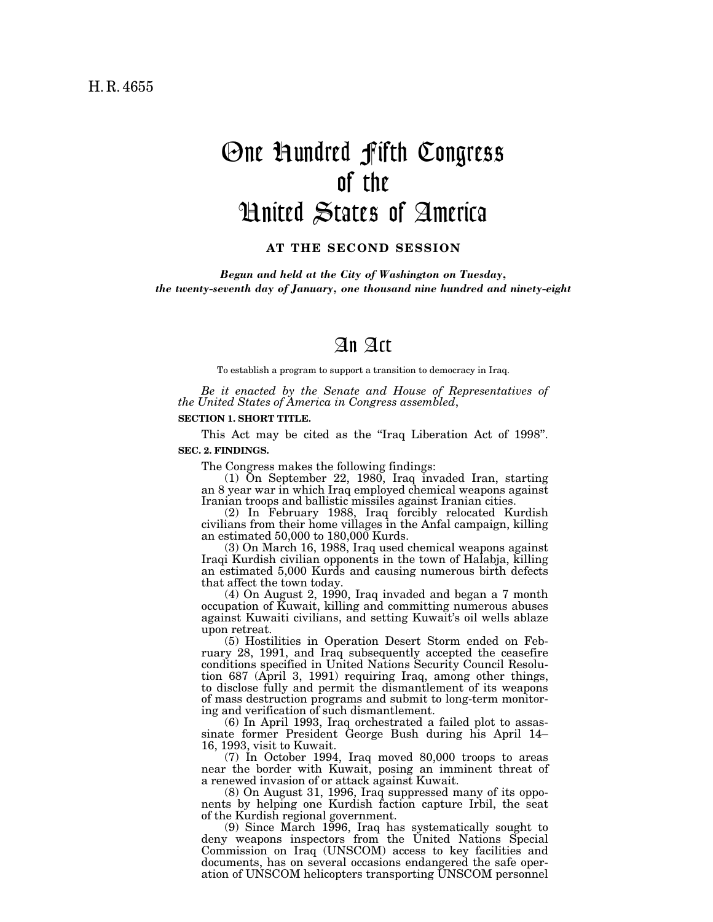# One Hundred Fifth Congress of the United States of America

**AT THE SECOND SESSION**

*Begun and held at the City of Washington on Tuesday, the twenty-seventh day of January, one thousand nine hundred and ninety-eight*

# An Act

To establish a program to support a transition to democracy in Iraq.

*Be it enacted by the Senate and House of Representatives of the United States of America in Congress assembled*,

#### **SECTION 1. SHORT TITLE.**

This Act may be cited as the "Iraq Liberation Act of 1998".

# **SEC. 2. FINDINGS.**

The Congress makes the following findings:

(1) On September 22, 1980, Iraq invaded Iran, starting an 8 year war in which Iraq employed chemical weapons against Iranian troops and ballistic missiles against Iranian cities.

(2) In February 1988, Iraq forcibly relocated Kurdish civilians from their home villages in the Anfal campaign, killing an estimated 50,000 to 180,000 Kurds.

(3) On March 16, 1988, Iraq used chemical weapons against Iraqi Kurdish civilian opponents in the town of Halabja, killing an estimated 5,000 Kurds and causing numerous birth defects that affect the town today.

(4) On August 2, 1990, Iraq invaded and began a 7 month occupation of Kuwait, killing and committing numerous abuses against Kuwaiti civilians, and setting Kuwait's oil wells ablaze upon retreat.

(5) Hostilities in Operation Desert Storm ended on February 28, 1991, and Iraq subsequently accepted the ceasefire conditions specified in United Nations Security Council Resolution 687 (April 3, 1991) requiring Iraq, among other things, to disclose fully and permit the dismantlement of its weapons of mass destruction programs and submit to long-term monitoring and verification of such dismantlement.

(6) In April 1993, Iraq orchestrated a failed plot to assassinate former President George Bush during his April 14– 16, 1993, visit to Kuwait.

(7) In October 1994, Iraq moved 80,000 troops to areas near the border with Kuwait, posing an imminent threat of a renewed invasion of or attack against Kuwait.

(8) On August 31, 1996, Iraq suppressed many of its opponents by helping one Kurdish faction capture Irbil, the seat of the Kurdish regional government.

(9) Since March 1996, Iraq has systematically sought to deny weapons inspectors from the United Nations Special Commission on Iraq (UNSCOM) access to key facilities and documents, has on several occasions endangered the safe operation of UNSCOM helicopters transporting UNSCOM personnel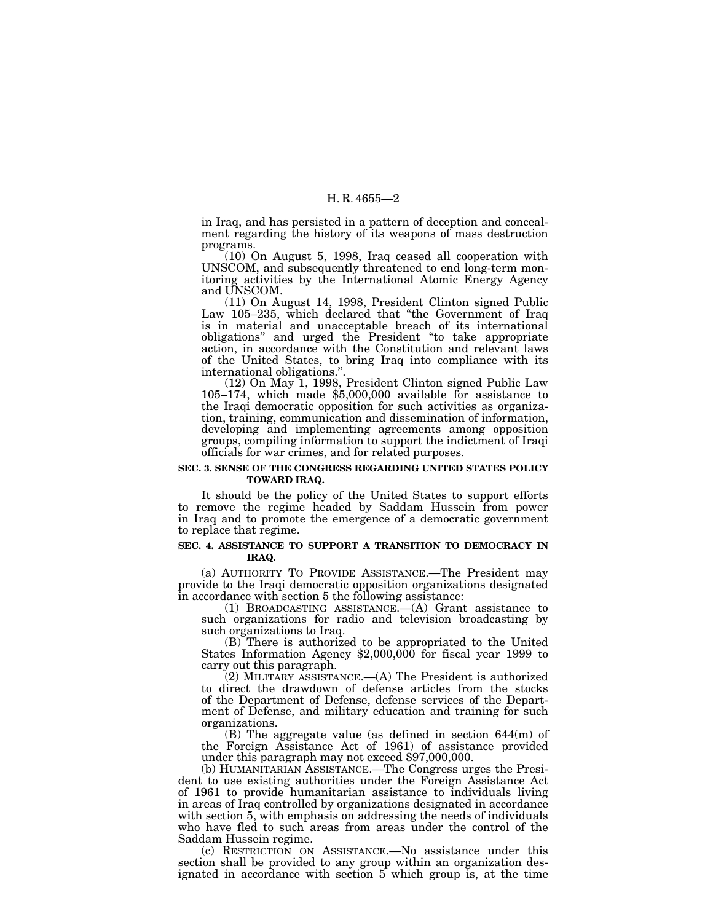# H. R. 4655—2

in Iraq, and has persisted in a pattern of deception and concealment regarding the history of its weapons of mass destruction programs.

 $(10)$  On August 5, 1998, Iraq ceased all cooperation with UNSCOM, and subsequently threatened to end long-term monitoring activities by the International Atomic Energy Agency and UNSCOM.

(11) On August 14, 1998, President Clinton signed Public Law 105–235, which declared that ''the Government of Iraq is in material and unacceptable breach of its international obligations'' and urged the President ''to take appropriate action, in accordance with the Constitution and relevant laws of the United States, to bring Iraq into compliance with its international obligations.".<br>(12) On May 1, 1998, President Clinton signed Public Law

 $105-174$ , which made \$5,000,000 available for assistance to the Iraqi democratic opposition for such activities as organization, training, communication and dissemination of information, developing and implementing agreements among opposition groups, compiling information to support the indictment of Iraqi officials for war crimes, and for related purposes.

# **SEC. 3. SENSE OF THE CONGRESS REGARDING UNITED STATES POLICY TOWARD IRAQ.**

It should be the policy of the United States to support efforts to remove the regime headed by Saddam Hussein from power in Iraq and to promote the emergence of a democratic government to replace that regime.

## **SEC. 4. ASSISTANCE TO SUPPORT A TRANSITION TO DEMOCRACY IN IRAQ.**

(a) AUTHORITY TO PROVIDE ASSISTANCE.—The President may provide to the Iraqi democratic opposition organizations designated in accordance with section 5 the following assistance:

(1) BROADCASTING ASSISTANCE.—(A) Grant assistance to such organizations for radio and television broadcasting by such organizations to Iraq.<br>(B) There is authorized to be appropriated to the United

States Information Agency  $$2,000,000$  for fiscal year 1999 to carry out this paragraph.

(2) MILITARY ASSISTANCE.—(A) The President is authorized to direct the drawdown of defense articles from the stocks of the Department of Defense, defense services of the Department of Defense, and military education and training for such organizations.

(B) The aggregate value (as defined in section 644(m) of the Foreign Assistance Act of 1961) of assistance provided under this paragraph may not exceed \$97,000,000.

(b) HUMANITARIAN ASSISTANCE.—The Congress urges the President to use existing authorities under the Foreign Assistance Act of 1961 to provide humanitarian assistance to individuals living in areas of Iraq controlled by organizations designated in accordance with section 5, with emphasis on addressing the needs of individuals who have fled to such areas from areas under the control of the Saddam Hussein regime.

(c) RESTRICTION ON ASSISTANCE.—No assistance under this section shall be provided to any group within an organization designated in accordance with section 5 which group is, at the time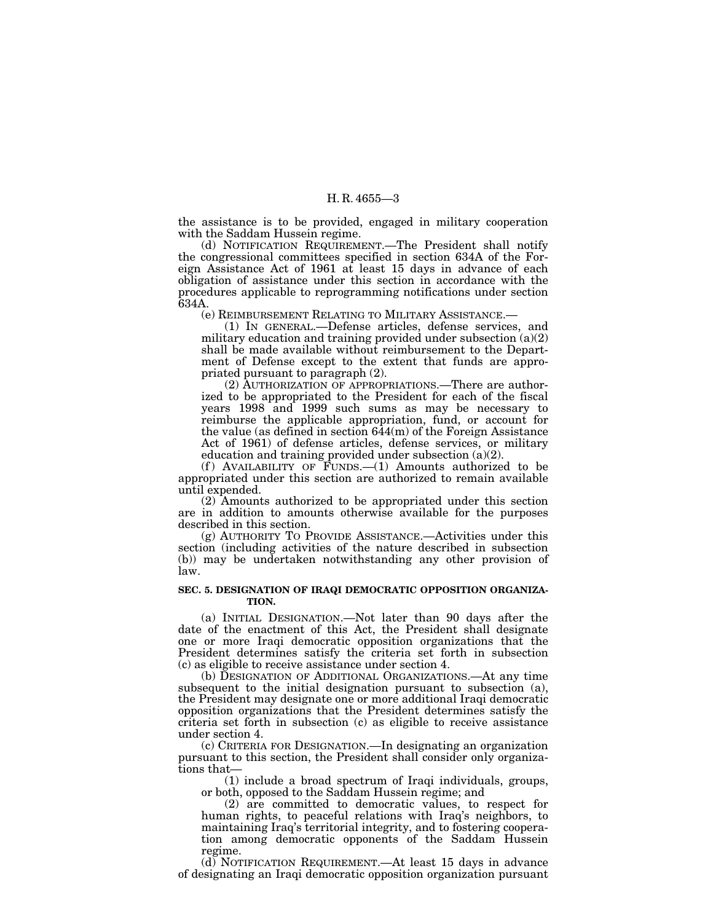# H. R. 4655—3

the assistance is to be provided, engaged in military cooperation with the Saddam Hussein regime.

(d) NOTIFICATION REQUIREMENT.—The President shall notify the congressional committees specified in section 634A of the Foreign Assistance Act of 1961 at least 15 days in advance of each obligation of assistance under this section in accordance with the procedures applicable to reprogramming notifications under section 634A.

(e) REIMBURSEMENT RELATING TO MILITARY ASSISTANCE.—

(1) IN GENERAL.—Defense articles, defense services, and military education and training provided under subsection (a)(2) shall be made available without reimbursement to the Department of Defense except to the extent that funds are appropriated pursuant to paragraph (2).

(2) AUTHORIZATION OF APPROPRIATIONS.—There are authorized to be appropriated to the President for each of the fiscal years 1998 and 1999 such sums as may be necessary to reimburse the applicable appropriation, fund, or account for the value (as defined in section 644(m) of the Foreign Assistance Act of 1961) of defense articles, defense services, or military education and training provided under subsection (a)(2).

(f) AVAILABILITY OF  $\overline{F}$ UNDS.  $-(1)$  Amounts authorized to be appropriated under this section are authorized to remain available until expended.

(2) Amounts authorized to be appropriated under this section are in addition to amounts otherwise available for the purposes described in this section.

(g) AUTHORITY TO PROVIDE ASSISTANCE.—Activities under this section (including activities of the nature described in subsection (b)) may be undertaken notwithstanding any other provision of law.

### **SEC. 5. DESIGNATION OF IRAQI DEMOCRATIC OPPOSITION ORGANIZA-TION.**

(a) INITIAL DESIGNATION.—Not later than 90 days after the date of the enactment of this Act, the President shall designate one or more Iraqi democratic opposition organizations that the President determines satisfy the criteria set forth in subsection (c) as eligible to receive assistance under section 4.

(b) DESIGNATION OF ADDITIONAL ORGANIZATIONS.—At any time subsequent to the initial designation pursuant to subsection (a), the President may designate one or more additional Iraqi democratic opposition organizations that the President determines satisfy the criteria set forth in subsection (c) as eligible to receive assistance under section 4.

(c) CRITERIA FOR DESIGNATION.—In designating an organization pursuant to this section, the President shall consider only organizations that—

(1) include a broad spectrum of Iraqi individuals, groups, or both, opposed to the Saddam Hussein regime; and

(2) are committed to democratic values, to respect for human rights, to peaceful relations with Iraq's neighbors, to maintaining Iraq's territorial integrity, and to fostering cooperation among democratic opponents of the Saddam Hussein regime.

(d) NOTIFICATION REQUIREMENT.—At least 15 days in advance of designating an Iraqi democratic opposition organization pursuant